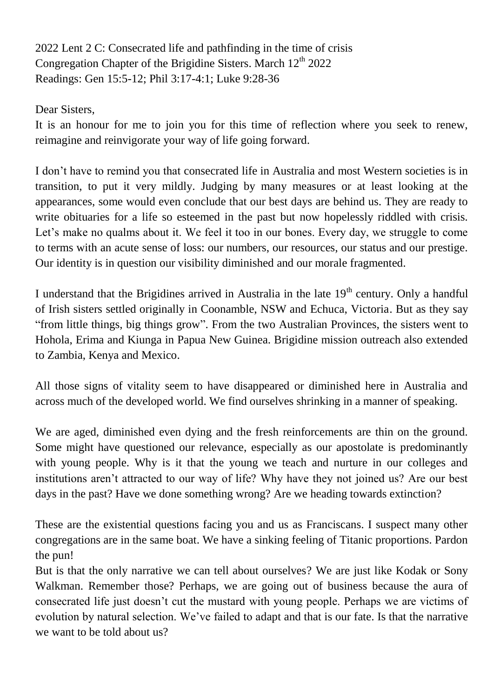2022 Lent 2 C: Consecrated life and pathfinding in the time of crisis Congregation Chapter of the Brigidine Sisters. March  $12<sup>th</sup> 2022$ Readings: Gen 15:5-12; Phil 3:17-4:1; Luke 9:28-36

Dear Sisters,

It is an honour for me to join you for this time of reflection where you seek to renew, reimagine and reinvigorate your way of life going forward.

I don't have to remind you that consecrated life in Australia and most Western societies is in transition, to put it very mildly. Judging by many measures or at least looking at the appearances, some would even conclude that our best days are behind us. They are ready to write obituaries for a life so esteemed in the past but now hopelessly riddled with crisis. Let's make no qualms about it. We feel it too in our bones. Every day, we struggle to come to terms with an acute sense of loss: our numbers, our resources, our status and our prestige. Our identity is in question our visibility diminished and our morale fragmented.

I understand that the Brigidines arrived in Australia in the late  $19<sup>th</sup>$  century. Only a handful of Irish sisters settled originally in Coonamble, NSW and Echuca, Victoria. But as they say "from little things, big things grow". From the two Australian Provinces, the sisters went to Hohola, Erima and Kiunga in Papua New Guinea. Brigidine mission outreach also extended to Zambia, Kenya and Mexico.

All those signs of vitality seem to have disappeared or diminished here in Australia and across much of the developed world. We find ourselves shrinking in a manner of speaking.

We are aged, diminished even dying and the fresh reinforcements are thin on the ground. Some might have questioned our relevance, especially as our apostolate is predominantly with young people. Why is it that the young we teach and nurture in our colleges and institutions aren't attracted to our way of life? Why have they not joined us? Are our best days in the past? Have we done something wrong? Are we heading towards extinction?

These are the existential questions facing you and us as Franciscans. I suspect many other congregations are in the same boat. We have a sinking feeling of Titanic proportions. Pardon the pun!

But is that the only narrative we can tell about ourselves? We are just like Kodak or Sony Walkman. Remember those? Perhaps, we are going out of business because the aura of consecrated life just doesn't cut the mustard with young people. Perhaps we are victims of evolution by natural selection. We've failed to adapt and that is our fate. Is that the narrative we want to be told about us?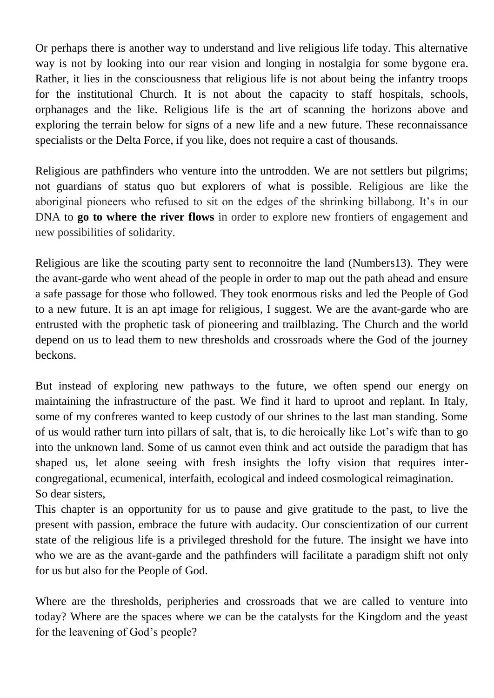Or perhaps there is another way to understand and live religious life today. This alternative way is not by looking into our rear vision and longing in nostalgia for some bygone era. Rather, it lies in the consciousness that religious life is not about being the infantry troops for the institutional Church. It is not about the capacity to staff hospitals, schools, orphanages and the like. Religious life is the art of scanning the horizons above and exploring the terrain below for signs of a new life and a new future. These reconnaissance specialists or the Delta Force, if you like, does not require a cast of thousands.

Religious are pathfinders who venture into the untrodden. We are not settlers but pilgrims; not guardians of status quo but explorers of what is possible. Religious are like the aboriginal pioneers who refused to sit on the edges of the shrinking billabong. It's in our DNA to **go to where the river flows** in order to explore new frontiers of engagement and new possibilities of solidarity.

Religious are like the scouting party sent to reconnoitre the land (Numbers13). They were the avant-garde who went ahead of the people in order to map out the path ahead and ensure a safe passage for those who followed. They took enormous risks and led the People of God to a new future. It is an apt image for religious, I suggest. We are the avant-garde who are entrusted with the prophetic task of pioneering and trailblazing. The Church and the world depend on us to lead them to new thresholds and crossroads where the God of the journey beckons.

But instead of exploring new pathways to the future, we often spend our energy on maintaining the infrastructure of the past. We find it hard to uproot and replant. In Italy, some of my confreres wanted to keep custody of our shrines to the last man standing. Some of us would rather turn into pillars of salt, that is, to die heroically like Lot's wife than to go into the unknown land. Some of us cannot even think and act outside the paradigm that has shaped us, let alone seeing with fresh insights the lofty vision that requires intercongregational, ecumenical, interfaith, ecological and indeed cosmological reimagination. So dear sisters,

This chapter is an opportunity for us to pause and give gratitude to the past, to live the present with passion, embrace the future with audacity. Our conscientization of our current state of the religious life is a privileged threshold for the future. The insight we have into who we are as the avant-garde and the pathfinders will facilitate a paradigm shift not only for us but also for the People of God.

Where are the thresholds, peripheries and crossroads that we are called to venture into today? Where are the spaces where we can be the catalysts for the Kingdom and the yeast for the leavening of God's people?